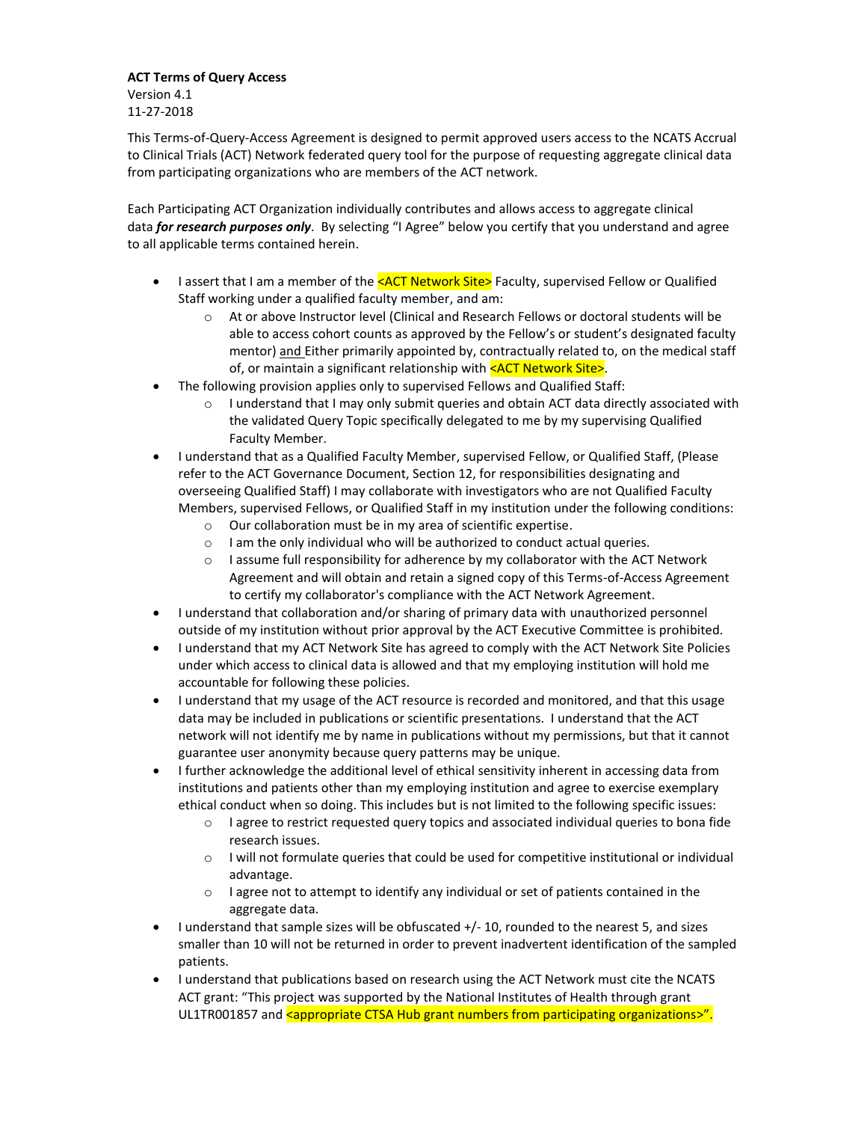## **ACT Terms of Query Access** Version 4.1

11-27-2018

This Terms-of-Query-Access Agreement is designed to permit approved users access to the NCATS Accrual to Clinical Trials (ACT) Network federated query tool for the purpose of requesting aggregate clinical data from participating organizations who are members of the ACT network.

Each Participating ACT Organization individually contributes and allows access to aggregate clinical data *for research purposes only*. By selecting "I Agree" below you certify that you understand and agree to all applicable terms contained herein.

- I assert that I am a member of the  $\leq$  ACT Network Site> Faculty, supervised Fellow or Qualified Staff working under a qualified faculty member, and am:
	- o At or above Instructor level (Clinical and Research Fellows or doctoral students will be able to access cohort counts as approved by the Fellow's or student's designated faculty mentor) and Either primarily appointed by, contractually related to, on the medical staff of, or maintain a significant relationship with  $\leq$ ACT Network Site>.
- The following provision applies only to supervised Fellows and Qualified Staff:
	- I understand that I may only submit queries and obtain ACT data directly associated with the validated Query Topic specifically delegated to me by my supervising Qualified Faculty Member.
- I understand that as a Qualified Faculty Member, supervised Fellow, or Qualified Staff, (Please refer to the ACT Governance Document, Section 12, for responsibilities designating and overseeing Qualified Staff) I may collaborate with investigators who are not Qualified Faculty Members, supervised Fellows, or Qualified Staff in my institution under the following conditions:
	- o Our collaboration must be in my area of scientific expertise.
	- o I am the only individual who will be authorized to conduct actual queries.
	- $\circ$  I assume full responsibility for adherence by my collaborator with the ACT Network Agreement and will obtain and retain a signed copy of this Terms-of-Access Agreement to certify my collaborator's compliance with the ACT Network Agreement.
- I understand that collaboration and/or sharing of primary data with unauthorized personnel outside of my institution without prior approval by the ACT Executive Committee is prohibited.
- I understand that my ACT Network Site has agreed to comply with the ACT Network Site Policies under which access to clinical data is allowed and that my employing institution will hold me accountable for following these policies.
- I understand that my usage of the ACT resource is recorded and monitored, and that this usage data may be included in publications or scientific presentations. I understand that the ACT network will not identify me by name in publications without my permissions, but that it cannot guarantee user anonymity because query patterns may be unique.
- I further acknowledge the additional level of ethical sensitivity inherent in accessing data from institutions and patients other than my employing institution and agree to exercise exemplary ethical conduct when so doing. This includes but is not limited to the following specific issues:
	- $\circ$  I agree to restrict requested query topics and associated individual queries to bona fide research issues.
	- o I will not formulate queries that could be used for competitive institutional or individual advantage.
	- $\circ$  I agree not to attempt to identify any individual or set of patients contained in the aggregate data.
- I understand that sample sizes will be obfuscated +/- 10, rounded to the nearest 5, and sizes smaller than 10 will not be returned in order to prevent inadvertent identification of the sampled patients.
- I understand that publications based on research using the ACT Network must cite the NCATS ACT grant: "This project was supported by the National Institutes of Health through grant UL1TR001857 and sappropriate CTSA Hub grant numbers from participating organizations>".